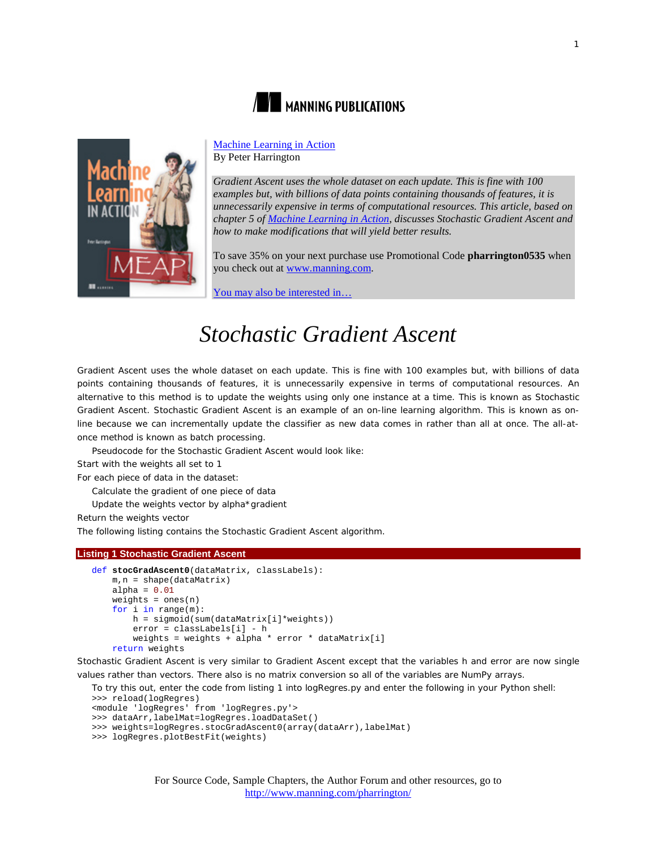



## [Machine Learning in Action](http://www.manning.com/pharrington/) By Peter Harrington

*Gradient Ascent uses the whole dataset on each update. This is fine with 100 examples but, with billions of data points containing thousands of features, it is unnecessarily expensive in terms of computational resources. This article, based on chapter 5 o[f Machine Learning in Action,](http://www.manning.com/pharrington/) discusses Stochastic Gradient Ascent and how to make modifications that will yield better results.*

To save 35% on your next purchase use Promotional Code **pharrington0535** when you check out at www.manning.com.

You may also [be interested in…](#page-5-0)

# *Stochastic Gradient Ascent*

Gradient Ascent uses the whole dataset on each update. This is fine with 100 examples but, with billions of data points containing thousands of features, it is unnecessarily expensive in terms of computational resources. An alternative to this method is to update the weights using only one instance at a time. This is known as *Stochastic Gradient Ascent*. Stochastic Gradient Ascent is an example of an *on-line* learning algorithm. This is known as online because we can incrementally update the classifier as new data comes in rather than all at once. The all-atonce method is known as batch processing.

Pseudocode for the Stochastic Gradient Ascent would look like: *Start with the weights all set to 1 For each piece of data in the dataset: Calculate the gradient of one piece of data Update the weights vector by alpha\*gradient*

*Return the weights vector*

The following listing contains the Stochastic Gradient Ascent algorithm.

## **Listing 1 Stochastic Gradient Ascent**

```
def stocGradAscent0(dataMatrix, classLabels):
     m,n = shape(dataMatrix)
    alpha = 0.01weights = ones(n) for i in range(m):
         h = sigmoid(sum(dataMatrix[i]*weights))
         error = classLabels[i] - h
         weights = weights + alpha * error * dataMatrix[i]
     return weights
```
Stochastic Gradient Ascent is very similar to Gradient Ascent except that the variables h and error are now single values rather than vectors. There also is no matrix conversion so all of the variables are NumPy arrays.

```
To try this out, enter the code from listing 1 into logRegres.py and enter the following in your Python shell:
>>> reload(logRegres)
<module 'logRegres' from 'logRegres.py'>
```

```
>>> dataArr,labelMat=logRegres.loadDataSet()
```

```
>>> weights=logRegres.stocGradAscent0(array(dataArr),labelMat)
```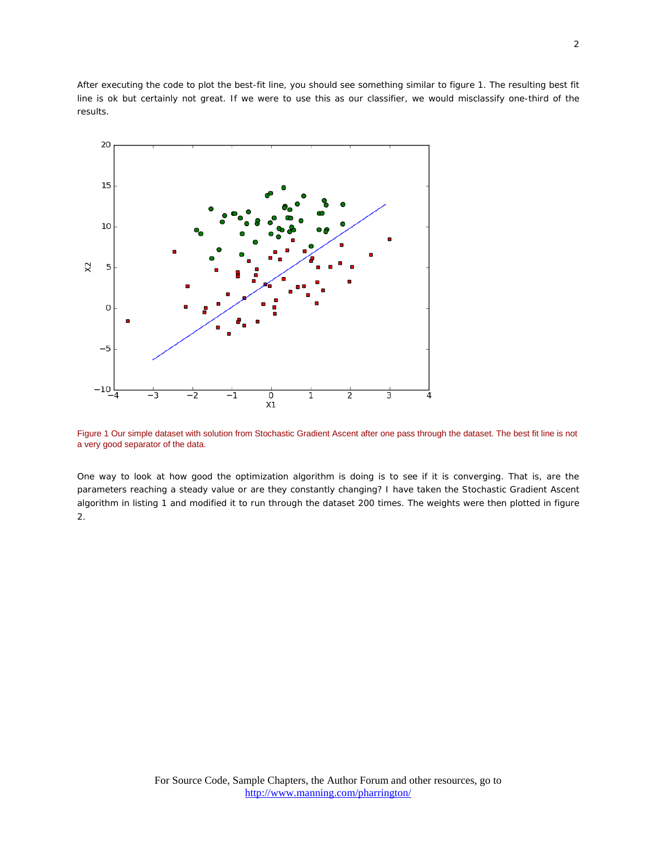After executing the code to plot the best-fit line, you should see something similar to figure 1. The resulting best fit line is ok but certainly not great. If we were to use this as our classifier, we would misclassify one-third of the results.



Figure 1 Our simple dataset with solution from Stochastic Gradient Ascent after one pass through the dataset. The best fit line is not a very good separator of the data.

One way to look at how good the optimization algorithm is doing is to see if it is converging. That is, are the parameters reaching a steady value or are they constantly changing? I have taken the Stochastic Gradient Ascent algorithm in listing 1 and modified it to run through the dataset 200 times. The weights were then plotted in figure 2.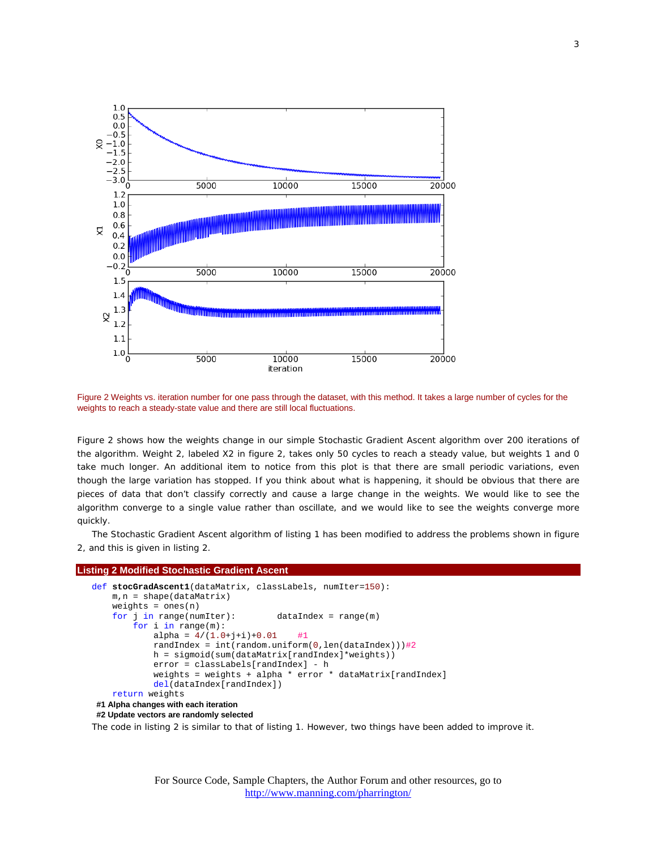

Figure 2 Weights vs. iteration number for one pass through the dataset, with this method. It takes a large number of cycles for the weights to reach a steady-state value and there are still local fluctuations.

Figure 2 shows how the weights change in our simple Stochastic Gradient Ascent algorithm over 200 iterations of the algorithm. Weight 2, labeled X2 in figure 2, takes only 50 cycles to reach a steady value, but weights 1 and 0 take much longer. An additional item to notice from this plot is that there are small periodic variations, even though the large variation has stopped. If you think about what is happening, it should be obvious that there are pieces of data that don't classify correctly and cause a large change in the weights. We would like to see the algorithm converge to a single value rather than oscillate, and we would like to see the weights converge more quickly.

The Stochastic Gradient Ascent algorithm of listing 1 has been modified to address the problems shown in figure 2, and this is given in listing 2.

#### **Listing 2 Modified Stochastic Gradient Ascent**

```
def stocGradAscent1(dataMatrix, classLabels, numIter=150):
     m,n = shape(dataMatrix)
    weights = ones(n) for j in range(numIter): dataIndex = range(m)
         for i in range(m):
            alpha = 4/(1.0+j+i)+0.01 #1
            randIndex = int(random.uniform(0,len(dataIndex)))#2
             h = sigmoid(sum(dataMatrix[randIndex]*weights))
             error = classLabels[randIndex] - h
             weights = weights + alpha * error * dataMatrix[randIndex]
             del(dataIndex[randIndex])
     return weights
#1 Alpha changes with each iteration
```

```
#2 Update vectors are randomly selected
```
The code in listing 2 is similar to that of listing 1. However, two things have been added to improve it.

For Source Code, Sample Chapters, the Author Forum and other resources, go to <http://www.manning.com/pharrington/>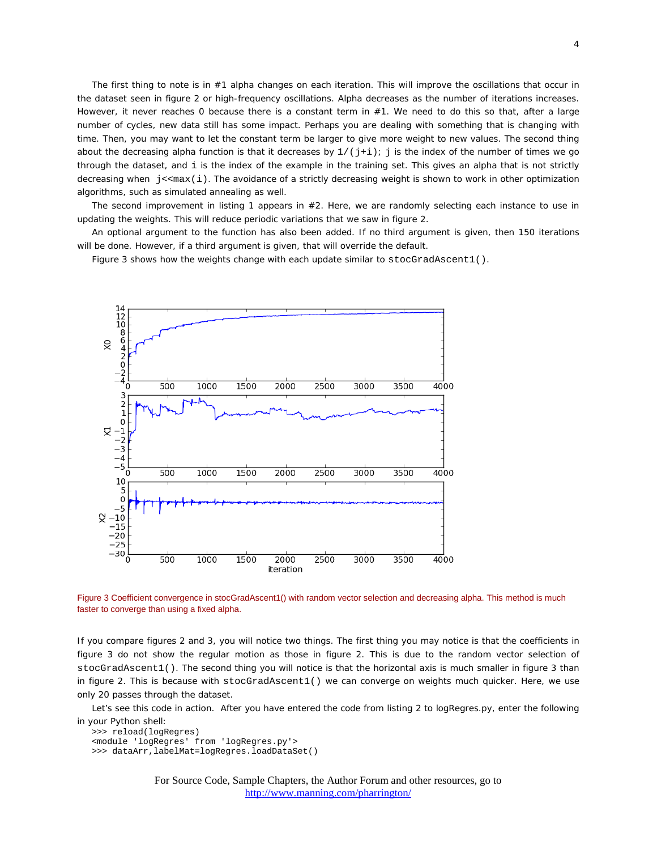The first thing to note is in #1 alpha changes on each iteration. This will improve the oscillations that occur in the dataset seen in figure 2 or high-frequency oscillations. Alpha decreases as the number of iterations increases. However, it never reaches 0 because there is a constant term in #1. We need to do this so that, after a large number of cycles, new data still has some impact. Perhaps you are dealing with something that is changing with time. Then, you may want to let the constant term be larger to give more weight to new values. The second thing about the decreasing alpha function is that it decreases by  $1/(j+i)$ ; j is the index of the number of times we go through the dataset, and i is the index of the example in the training set. This gives an alpha that is not strictly decreasing when  $j$ <<max(i). The avoidance of a strictly decreasing weight is shown to work in other optimization algorithms, such as simulated annealing as well.

The second improvement in listing 1 appears in #2. Here, we are randomly selecting each instance to use in updating the weights. This will reduce periodic variations that we saw in figure 2.

An optional argument to the function has also been added. If no third argument is given, then 150 iterations will be done. However, if a third argument is given, that will override the default.

Figure 3 shows how the weights change with each update similar to stocGradAscent1().



Figure 3 Coefficient convergence in stocGradAscent1() with random vector selection and decreasing alpha. This method is much faster to converge than using a fixed alpha.

If you compare figures 2 and 3, you will notice two things. The first thing you may notice is that the coefficients in figure 3 do not show the regular motion as those in figure 2. This is due to the random vector selection of stocGradAscent1(). The second thing you will notice is that the horizontal axis is much smaller in figure 3 than in figure 2. This is because with stocGradAscent1() we can converge on weights much quicker. Here, we use only 20 passes through the dataset.

Let's see this code in action. After you have entered the code from listing 2 to logRegres.py, enter the following in your Python shell:

>>> reload(logRegres) <module 'logRegres' from 'logRegres.py'> >>> dataArr,labelMat=logRegres.loadDataSet()

> For Source Code, Sample Chapters, the Author Forum and other resources, go to <http://www.manning.com/pharrington/>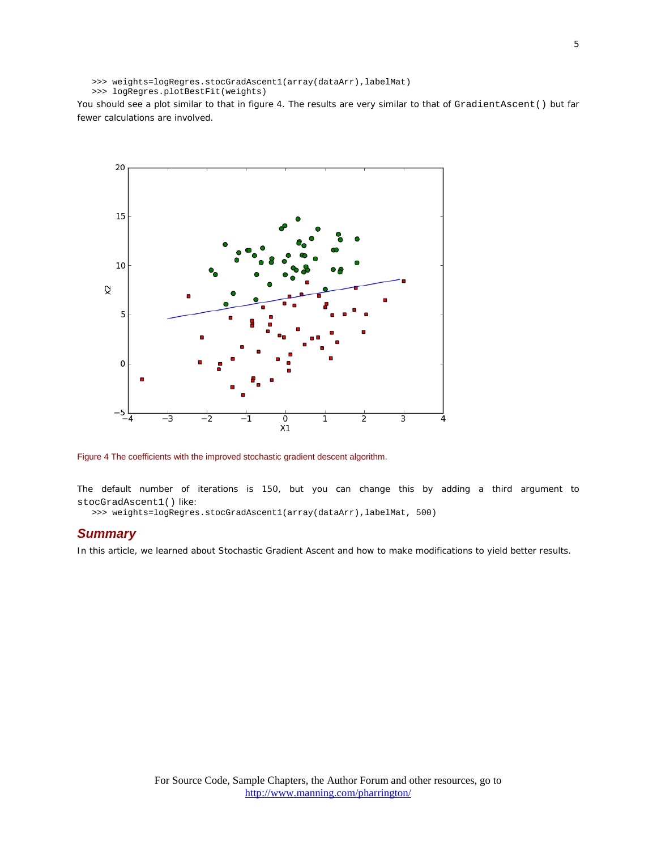```
>>> weights=logRegres.stocGradAscent1(array(dataArr),labelMat)
```

```
>>> logRegres.plotBestFit(weights)
```
You should see a plot similar to that in figure 4. The results are very similar to that of GradientAscent() but far fewer calculations are involved.



Figure 4 The coefficients with the improved stochastic gradient descent algorithm.

The default number of iterations is 150, but you can change this by adding a third argument to stocGradAscent1() like:

>>> weights=logRegres.stocGradAscent1(array(dataArr),labelMat, 500)

# *Summary*

In this article, we learned about Stochastic Gradient Ascent and how to make modifications to yield better results.

5